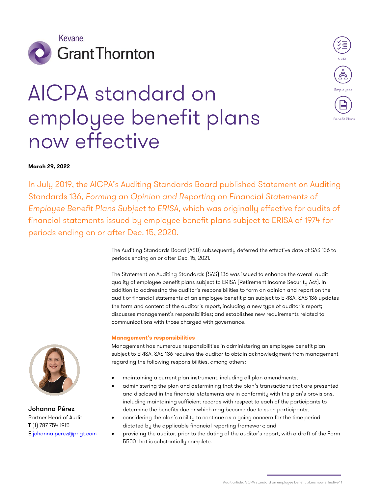

# AICPA standard on employee benefit plans now effective



## **March 29, 2022**

In July 2019, the AICPA's Auditing Standards Board published Statement on Auditing Standards 136, *Forming an Opinion and Reporting on Financial Statements of Employee Benefit Plans Subject to ERISA*, which was originally effective for audits of financial statements issued by employee benefit plans subject to ERISA of 1974 for periods ending on or after Dec. 15, 2020.

> The Auditing Standards Board (ASB) subsequently deferred the effective date of SAS 136 to periods ending on or after Dec. 15, 2021.

> The Statement on Auditing Standards (SAS) 136 was issued to enhance the overall audit quality of employee benefit plans subject to ERISA (Retirement Income Security Act). In addition to addressing the auditor's responsibilities to form an opinion and report on the audit of financial statements of an employee benefit plan subject to ERISA, SAS 136 updates the form and content of the auditor's report, including a new type of auditor's report; discusses management's responsibilities; and establishes new requirements related to communications with those charged with governance.

## **Management's responsibilities**

Management has numerous responsibilities in administering an employee benefit plan subject to ERISA. SAS 136 requires the auditor to obtain acknowledgment from management regarding the following responsibilities, among others:

- maintaining a current plan instrument, including all plan amendments;
- administering the plan and determining that the plan's transactions that are presented and disclosed in the financial statements are in conformity with the plan's provisions, including maintaining sufficient records with respect to each of the participants to determine the benefits due or which may become due to such participants;
- considering the plan's ability to continue as a going concern for the time period dictated by the applicable financial reporting framework; and
- providing the auditor, prior to the dating of the auditor's report, with a draft of the Form 5500 that is substantially complete.



Johanna Pérez Partner Head of Audit T (1) 787 754 1915 E [johanna.perez@pr.gt.com](mailto:johanna.perez@pr.gt.com)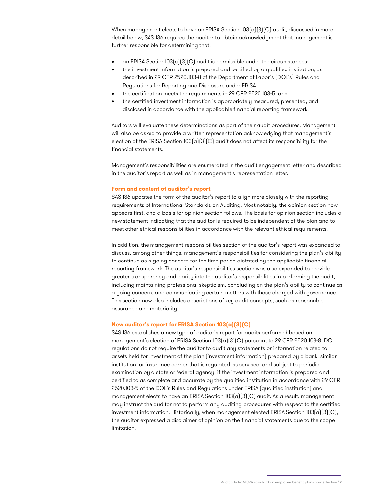When management elects to have an ERISA Section 103(a)(3)(C) audit, discussed in more detail below, SAS 136 requires the auditor to obtain acknowledgment that management is further responsible for determining that;

- an ERISA Section103(a)(3)(C) audit is permissible under the circumstances;
- the investment information is prepared and certified by a qualified institution, as described in 29 CFR 2520.103-8 of the Department of Labor's (DOL's) Rules and Regulations for Reporting and Disclosure under ERISA
- the certification meets the requirements in 29 CFR 2520.103-5; and
- the certified investment information is appropriately measured, presented, and disclosed in accordance with the applicable financial reporting framework.

Auditors will evaluate these determinations as part of their audit procedures. Management will also be asked to provide a written representation acknowledging that management's election of the ERISA Section 103 $[a](3)(C)$  audit does not affect its responsibility for the financial statements.

Management's responsibilities are enumerated in the audit engagement letter and described in the auditor's report as well as in management's representation letter.

#### **Form and content of auditor's report**

SAS 136 updates the form of the auditor's report to align more closely with the reporting requirements of International Standards on Auditing. Most notably, the opinion section now appears first, and a basis for opinion section follows. The basis for opinion section includes a new statement indicating that the auditor is required to be independent of the plan and to meet other ethical responsibilities in accordance with the relevant ethical requirements.

In addition, the management responsibilities section of the auditor's report was expanded to discuss, among other things, management's responsibilities for considering the plan's ability to continue as a going concern for the time period dictated by the applicable financial reporting framework. The auditor's responsibilities section was also expanded to provide greater transparency and clarity into the auditor's responsibilities in performing the audit, including maintaining professional skepticism, concluding on the plan's ability to continue as a going concern, and communicating certain matters with those charged with governance. This section now also includes descriptions of key audit concepts, such as reasonable assurance and materiality.

## **New auditor's report for ERISA Section 103(a)(3)(C)**

SAS 136 establishes a new type of auditor's report for audits performed based on management's election of ERISA Section 103(a)(3)(C) pursuant to 29 CFR 2520.103-8. DOL regulations do not require the auditor to audit any statements or information related to assets held for investment of the plan (investment information) prepared by a bank, similar institution, or insurance carrier that is regulated, supervised, and subject to periodic examination by a state or federal agency, if the investment information is prepared and certified to as complete and accurate by the qualified institution in accordance with 29 CFR 2520.103-5 of the DOL's Rules and Regulations under ERISA (qualified institution) and management elects to have an ERISA Section 103(a)(3)(C) audit. As a result, management may instruct the auditor not to perform any auditing procedures with respect to the certified investment information. Historically, when management elected ERISA Section  $103(a)(3)(C)$ , the auditor expressed a disclaimer of opinion on the financial statements due to the scope limitation.